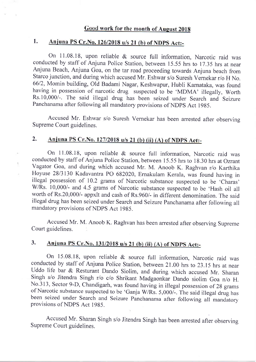# **Good work for the month of August 2018**

#### 1. Anjuna PS Cr. No. 126/2018 u/s 21 (b) of NDPS Act:-

On 11.08.18, upon reliable & source full information, Narcotic raid was conducted by staff of Anjuna Police Station, between 15.55 hrs to 17.35 hrs at near Anjuna Beach, Anjuna Goa, on the tar road proceeding towards Anjuna beach from Starco junction, and during which accused Mr. Eshwar s/o Suresh Vernekar r/o H No. 6612, Momin building, Old Badami Nagar, Keshwapur, Hubli Karnataka, was found having in possession of narcotic drug suspected to be 'MDMA' illegally, Worth Rs.10,000/-. The said illegal drug has been seized under Search and Seizure Panchanama after following all mandatory provisions of NDpS Act 1985.

Accused Mr. Eshwar s/o Suresh Vernekar has been arrested after observing Supreme Court guidelines.

### Anjuna PS Cr.No. 127/2018 u/s 21 (b) (ii) (A) of NDPS Act:-2.

ĵ.

On 11.08.18, upon reliable & source full information, Narcotic raid was conducted by staff of Anjuna Police Station, between 15.55 hrs to 18.30 hrs at Ozrant Vagator Goa, and during which accused Mr. M. Anoob K. Raghvan r/o Karthika Hoyuse 2813130 Kadavantra PO 682020, Emakulam Kerala, was found having in illegal possession of 10.2 grams of Narcotic substance suspected to be 'Charas' WRs. 10,000/- and 4.5 grams of Narcotic substance suspected to be'Hash oil all worth of Rs.20,000/- appxlt and cash of Rs.960/- in different denomination. The said illegal drug has been seized under Search and Seizure Panchanama after following all mandatory provisions of NDPS Act 1985.

Accused Mr. M. Anoob K. Raghvan has been arrested after observing Supreme Court guidelines.

### 3. Anjuna PS Cr. No. 131/2018 u/s 21 (b) (ii) (A) of NDPS Act:-

On 15.08.18, upon reliable & source full information, Narcotic raid was conducted by staff of Anjuna Police Station, between 21.00 hrs to 23.15 hrs at near Uddo life bar & Resturant Dando Siolim, and during which accused Mr. Sharan Singh s/o Jitendra Singh r/o c/o Shrikant Madgaonkar Dando siolim Goa n/o H. No.313, Sector 9-D, Chandigarh, was found having in illegal possession of 28 grams of Narcotic substance suspected to be 'Ganja W/Rs. 5,000/-. The said illegal drug has been seized under Search and Seizure Panchanama after following ali mandatory provisions of NDPS Act 1985.

Accused Mr. Sharan Singh s/o Jitendra Singh has been arrested after observing Supreme Court guidelines.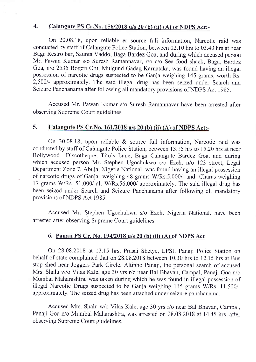# 4. Calangute PS Cr. No. 156/2018 u/s 20 (b) (ii) (A) of NDPS Act:-

On 20.08.18, upon reliable & source full information, Narcotic raid was conducted by staff of Calangute Police Station, between 02.10 hrs to 03.40 hrs at near Baga Restro bar, Saunta Vaddo, Baga Bardez Goa, and during which accused person Mr. Pawan Kumar s/o Suresh Ramannavar, r/o c/o Sea food shack, Baga, Bardez Goa, n/o 2535 Bogeri Oni, Mulgund Gadag Karnataka, was found having an illegal possession of narcotic drugs suspected to be Ganja weighing 145 grams, worth Rs. 2,500/- approximately. The said illegal drug has been seized under Search and Seizure Panchanama after following all mandatory provisions of NDPS Act 1985.

Accused Mr. Pawan Kumar s/o Suresh Ramannavar have been arrested after observing Supreme Court guidelines.

#### 5. Calangute PS Cr.No. 161/2018 u/s 20 (b) (ii) (A) of NDPS Act:-

On 30.08.18, upon reliable & source full information, Narcotic raid was conducted by staff of Calangute Police Station, between 13.15 hrs to 15.20 hrs at near Bollywood Discotheque, Tito's Lane, Baga Calangute Bardez Goa, and during which accused person Mr. Stephen Ugochukwu s/o Ezeh, n/o 123 street, Legal Department Zone 7, Abuja, Nigeria National, was found having an illegal possession of narcotic drugs of Ganja weighing 48 grams W/Rs.5,000/- and Charas weighing 17 grams W/Rs. 51,000/-all WRs.56,000/-approximately. The said illegal drug has been seized under Search and Seizure Panchanama after following all mandatory provisions of NDPS Act 1985.

Accused Mr. Stephen Ugochukwu s/o Ezeh, Nigeria National, have been arrested after observing Supreme Court guidelines.

## 6. Panaii PS Cr. No. 19412018 u/s 20 (b) (ii) (A) of NDPS Act

On 28.08.2018 at 13.15 hrs, Prasai Shetye, LPSI, Panaji Police Station on behalf of state complained that on 28.08.2018 between 10.30 hrs to 12.15 hrs at Bus stop shed near Joggers Park Circle, Altinho Panaji, the personal search of accused Mrs. Shalu w/o Vilas Kale, age 30 yrs r/o near Bal Bhavan, Campal, Panaji Goa n/o Mumbai Maharashtra, was taken during which he was found in illegal possession of illegal Narcotic Drugs suspected to be Ganja weighing 115 grams W/Rs. 11,500/approximately. The seized drug has been attached under seizure panchanama.

Accused Mrs. Shalu w/o Vilas Kale, age 30 yrs r/o near Bal Bhavan, Campal, Panaji Goa n/o Mumbai Maharashtra, was arrested on 28.08.2018 at 14.45 hrs, after observing Supreme Court guidelines.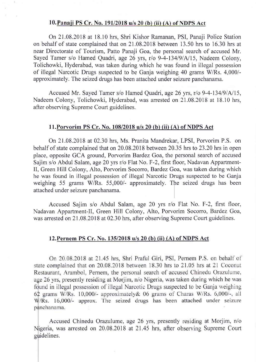## 10. Panaji PS Cr. No. 191/2018 u/s 20 (b) (ii) (A) of NDPS Act

On21.08.2018 at 18.10 hrs, Shri Kishor Ramanan, PSI, Panaji Police Station on behalf of state complained that on21.08.2018 between 13.50 hrs to 16.30 hrs at near Directorate of Tourism, Patto Panaji Goa, the personal search of accused Mr. Sayed Tamer s/o Hamed Quadri, age 26 yrs, r/o 9-4-134/9/A/15, Nadeem Colony, Tolichowki, Hyderabad, was taken during which he was found in illegal possession of illegal Narcotic Drugs suspected to be Ganja weighing 40 grams W/Rs. 4,000/approximately. The seized drugs has been attached under seizure panchanama.

Accused Mr. Sayed Tamer s/o Hamed Quadri, age 26 yrs, r/o 9-4-134/9/A/15, Nadeem Colony, Tolichowki, Hyderabad, was arrested on 21.08.2018 at 18.10 hrs. after observing Supreme Court guidelines.

## ll.Porvorim PS Cr. No. 108/2018 u/s 20 (b) (ii) (A) of NDPS Act

On21.08.2018 at 02.30 hrs, Ms. Pranita Mandrekar, LPSI, Porvorim P.S. on behalf of state complained that on 20.08.2018 between 20.35 hrs to 23.20 hrs in open place, opposite GCA ground, Porvorim Bardez Goa, the personal search of accused Sajim s/o Abdul Salam, age 20 yrs r/o Flat No. F-2, first floor, Nadavan Appartment-II, Green Hill Colony, Alto, Porvorim Socorro, Bardez Goa, was taken during which he was found in illegal possession of illegal Narcotic Drugs suspected to be Ganja weighing 55 grams W/Rs. 55,000/- approximately. The seized drugs has been attached under seizure panchanama.

Accused Sajim s/o Abdul Salam, age 20 yrs r/o Flat No. F-2, first floor, Nadavan Appartment-Il, Green Hill Colony, Alto, Porvorim Socorro, Bardez Goa, was arrested on 21.08.2018 at 02.30 hrs, after observing Supreme Court guidelines.

## l2.Pernem PS Cr. No. 135/2018 u/s 20 (b) (ii) (A) of NDPS Act

On 20.08.2018 at 21.45 hrs, Shri Praful Giri, PSI, Pernem P.S. on behalf of state complained that on 20.08.2018 between 18.30 hrs to 21.05 hrs at 21 Coconut Restaurant, Arambol, Pernem, the personal search of accused Chinedu Orazulume, age 26 yrs, presently residing at Morjim, n/o Nigeria, was taken during which he was found in illegal possession of illegal Narcotic Drugs suspected to be Ganja weighing 62 grams W/Rs. 10,000/- approximately & 06 grams of Charas W/Rs. 6,000/-, all W/Rs. 16,000/- approx. The seized drugs has been attached under seizure panchanama.

Accused Chinedu Orazulume, age 26 yrs, presently residing at Morjim, n/o Nigeria, was arrested on 20.08.2018 at 21.45 hrs, after observing Supreme Court guidelines.